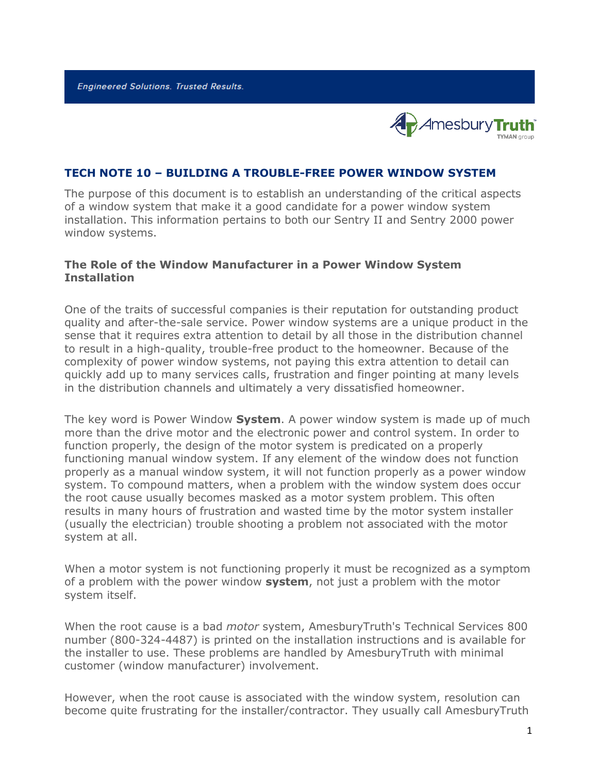**Engineered Solutions. Trusted Results.** 



### **TECH NOTE 10 – BUILDING A TROUBLE-FREE POWER WINDOW SYSTEM**

The purpose of this document is to establish an understanding of the critical aspects of a window system that make it a good candidate for a power window system installation. This information pertains to both our Sentry II and Sentry 2000 power window systems.

#### **The Role of the Window Manufacturer in a Power Window System Installation**

One of the traits of successful companies is their reputation for outstanding product quality and after-the-sale service. Power window systems are a unique product in the sense that it requires extra attention to detail by all those in the distribution channel to result in a high-quality, trouble-free product to the homeowner. Because of the complexity of power window systems, not paying this extra attention to detail can quickly add up to many services calls, frustration and finger pointing at many levels in the distribution channels and ultimately a very dissatisfied homeowner.

The key word is Power Window **System**. A power window system is made up of much more than the drive motor and the electronic power and control system. In order to function properly, the design of the motor system is predicated on a properly functioning manual window system. If any element of the window does not function properly as a manual window system, it will not function properly as a power window system. To compound matters, when a problem with the window system does occur the root cause usually becomes masked as a motor system problem. This often results in many hours of frustration and wasted time by the motor system installer (usually the electrician) trouble shooting a problem not associated with the motor system at all.

When a motor system is not functioning properly it must be recognized as a symptom of a problem with the power window **system**, not just a problem with the motor system itself.

When the root cause is a bad *motor* system, AmesburyTruth's Technical Services 800 number (800-324-4487) is printed on the installation instructions and is available for the installer to use. These problems are handled by AmesburyTruth with minimal customer (window manufacturer) involvement.

However, when the root cause is associated with the window system, resolution can become quite frustrating for the installer/contractor. They usually call AmesburyTruth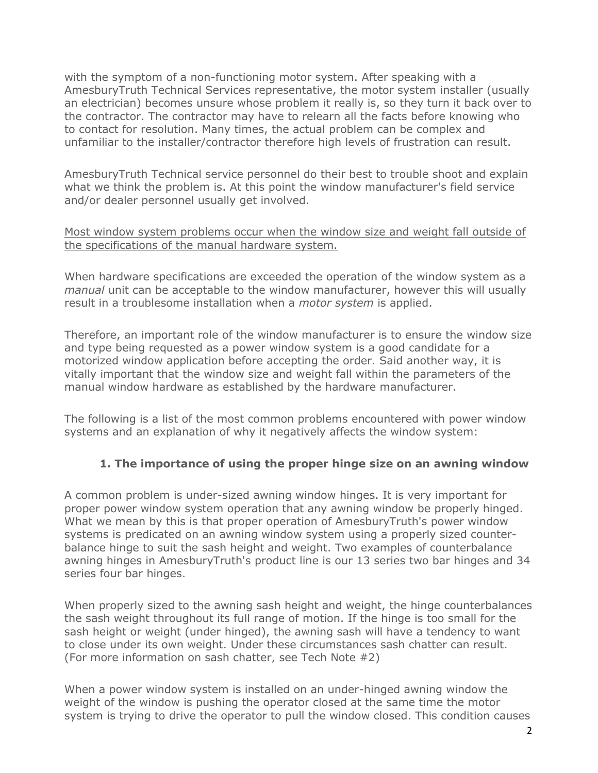with the symptom of a non-functioning motor system. After speaking with a AmesburyTruth Technical Services representative, the motor system installer (usually an electrician) becomes unsure whose problem it really is, so they turn it back over to the contractor. The contractor may have to relearn all the facts before knowing who to contact for resolution. Many times, the actual problem can be complex and unfamiliar to the installer/contractor therefore high levels of frustration can result.

AmesburyTruth Technical service personnel do their best to trouble shoot and explain what we think the problem is. At this point the window manufacturer's field service and/or dealer personnel usually get involved.

Most window system problems occur when the window size and weight fall outside of the specifications of the manual hardware system.

When hardware specifications are exceeded the operation of the window system as a *manual* unit can be acceptable to the window manufacturer, however this will usually result in a troublesome installation when a *motor system* is applied.

Therefore, an important role of the window manufacturer is to ensure the window size and type being requested as a power window system is a good candidate for a motorized window application before accepting the order. Said another way, it is vitally important that the window size and weight fall within the parameters of the manual window hardware as established by the hardware manufacturer.

The following is a list of the most common problems encountered with power window systems and an explanation of why it negatively affects the window system:

# **1. The importance of using the proper hinge size on an awning window**

A common problem is under-sized awning window hinges. It is very important for proper power window system operation that any awning window be properly hinged. What we mean by this is that proper operation of AmesburyTruth's power window systems is predicated on an awning window system using a properly sized counterbalance hinge to suit the sash height and weight. Two examples of counterbalance awning hinges in AmesburyTruth's product line is our 13 series two bar hinges and 34 series four bar hinges.

When properly sized to the awning sash height and weight, the hinge counterbalances the sash weight throughout its full range of motion. If the hinge is too small for the sash height or weight (under hinged), the awning sash will have a tendency to want to close under its own weight. Under these circumstances sash chatter can result. (For more information on sash chatter, see Tech Note #2)

When a power window system is installed on an under-hinged awning window the weight of the window is pushing the operator closed at the same time the motor system is trying to drive the operator to pull the window closed. This condition causes